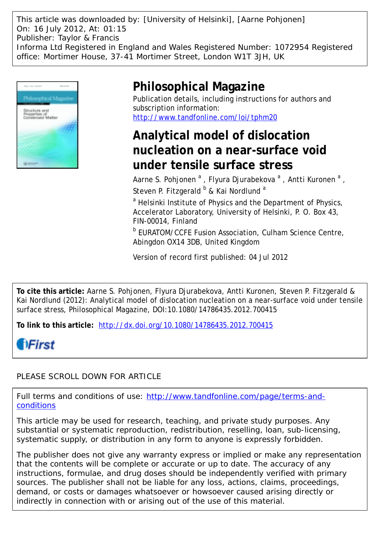This article was downloaded by: [University of Helsinki], [Aarne Pohjonen] On: 16 July 2012, At: 01:15 Publisher: Taylor & Francis Informa Ltd Registered in England and Wales Registered Number: 1072954 Registered office: Mortimer House, 37-41 Mortimer Street, London W1T 3JH, UK



## **Philosophical Magazine**

Publication details, including instructions for authors and subscription information: <http://www.tandfonline.com/loi/tphm20>

## **Analytical model of dislocation nucleation on a near-surface void under tensile surface stress**

Aarne S. Pohjonen <sup>a</sup>, Flyura Djurabekova <sup>a</sup>, Antti Kuronen <sup>a</sup>, Steven P. Fitzgerald  $b$  & Kai Nordlund <sup>a</sup>

<sup>a</sup> Helsinki Institute of Physics and the Department of Physics, Accelerator Laboratory, University of Helsinki, P. O. Box 43, FIN-00014, Finland

**b EURATOM/CCFE Fusion Association, Culham Science Centre,** Abingdon OX14 3DB, United Kingdom

Version of record first published: 04 Jul 2012

**To cite this article:** Aarne S. Pohjonen, Flyura Djurabekova, Antti Kuronen, Steven P. Fitzgerald & Kai Nordlund (2012): Analytical model of dislocation nucleation on a near-surface void under tensile surface stress, Philosophical Magazine, DOI:10.1080/14786435.2012.700415

**To link to this article:** <http://dx.doi.org/10.1080/14786435.2012.700415>

# **fiFirst**

### PLEASE SCROLL DOWN FOR ARTICLE

Full terms and conditions of use: [http://www.tandfonline.com/page/terms-and](http://www.tandfonline.com/page/terms-and-conditions)[conditions](http://www.tandfonline.com/page/terms-and-conditions)

This article may be used for research, teaching, and private study purposes. Any substantial or systematic reproduction, redistribution, reselling, loan, sub-licensing, systematic supply, or distribution in any form to anyone is expressly forbidden.

The publisher does not give any warranty express or implied or make any representation that the contents will be complete or accurate or up to date. The accuracy of any instructions, formulae, and drug doses should be independently verified with primary sources. The publisher shall not be liable for any loss, actions, claims, proceedings, demand, or costs or damages whatsoever or howsoever caused arising directly or indirectly in connection with or arising out of the use of this material.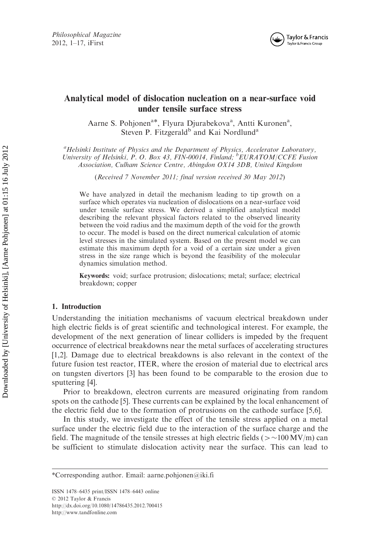

### Analytical model of dislocation nucleation on a near-surface void under tensile surface stress

Aarne S. Pohjonen<sup>a\*</sup>, Flyura Djurabekova<sup>a</sup>, Antti Kuronen<sup>a</sup>, Steven P. Fitzgerald<sup>b</sup> and Kai Nordlund<sup>a</sup>

<sup>a</sup>Helsinki Institute of Physics and the Department of Physics, Accelerator Laboratory, University of Helsinki, P. O. Box 43, FIN-00014, Finland; <sup>b</sup>EURATOM/CCFE Fusion Association, Culham Science Centre, Abingdon OX14 3DB, United Kingdom

(Received 7 November 2011; final version received 30 May 2012)

We have analyzed in detail the mechanism leading to tip growth on a surface which operates via nucleation of dislocations on a near-surface void under tensile surface stress. We derived a simplified analytical model describing the relevant physical factors related to the observed linearity between the void radius and the maximum depth of the void for the growth to occur. The model is based on the direct numerical calculation of atomic level stresses in the simulated system. Based on the present model we can estimate this maximum depth for a void of a certain size under a given stress in the size range which is beyond the feasibility of the molecular dynamics simulation method.

Keywords: void; surface protrusion; dislocations; metal; surface; electrical breakdown; copper

#### 1. Introduction

Understanding the initiation mechanisms of vacuum electrical breakdown under high electric fields is of great scientific and technological interest. For example, the development of the next generation of linear colliders is impeded by the frequent occurrence of electrical breakdowns near the metal surfaces of accelerating structures [1,2]. Damage due to electrical breakdowns is also relevant in the context of the future fusion test reactor, ITER, where the erosion of material due to electrical arcs on tungsten divertors [3] has been found to be comparable to the erosion due to sputtering [4].

Prior to breakdown, electron currents are measured originating from random spots on the cathode [5]. These currents can be explained by the local enhancement of the electric field due to the formation of protrusions on the cathode surface [5,6].

In this study, we investigate the effect of the tensile stress applied on a metal surface under the electric field due to the interaction of the surface charge and the field. The magnitude of the tensile stresses at high electric fields ( $>$  ~100 MV/m) can be sufficient to stimulate dislocation activity near the surface. This can lead to

<sup>\*</sup>Corresponding author. Email: aarne.pohjonen@iki.fi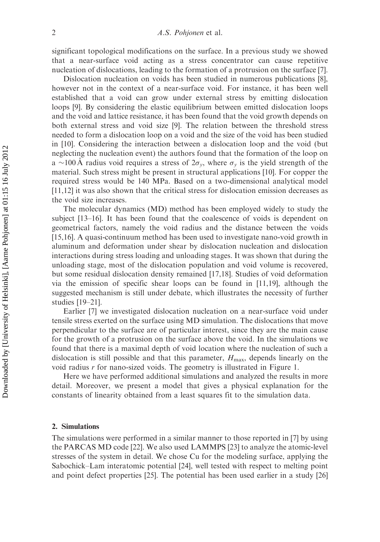significant topological modifications on the surface. In a previous study we showed that a near-surface void acting as a stress concentrator can cause repetitive nucleation of dislocations, leading to the formation of a protrusion on the surface [7].

Dislocation nucleation on voids has been studied in numerous publications [8], however not in the context of a near-surface void. For instance, it has been well established that a void can grow under external stress by emitting dislocation loops [9]. By considering the elastic equilibrium between emitted dislocation loops and the void and lattice resistance, it has been found that the void growth depends on both external stress and void size [9]. The relation between the threshold stress needed to form a dislocation loop on a void and the size of the void has been studied in [10]. Considering the interaction between a dislocation loop and the void (but neglecting the nucleation event) the authors found that the formation of the loop on a ~100 Å radius void requires a stress of  $2\sigma_y$ , where  $\sigma_y$  is the yield strength of the material. Such stress might be present in structural applications [10]. For copper the required stress would be 140 MPa. Based on a two-dimensional analytical model [11,12] it was also shown that the critical stress for dislocation emission decreases as the void size increases.

The molecular dynamics (MD) method has been employed widely to study the subject [13–16]. It has been found that the coalescence of voids is dependent on geometrical factors, namely the void radius and the distance between the voids [15,16]. A quasi-continuum method has been used to investigate nano-void growth in aluminum and deformation under shear by dislocation nucleation and dislocation interactions during stress loading and unloading stages. It was shown that during the unloading stage, most of the dislocation population and void volume is recovered, but some residual dislocation density remained [17,18]. Studies of void deformation via the emission of specific shear loops can be found in [11,19], although the suggested mechanism is still under debate, which illustrates the necessity of further studies [19–21].

Earlier [7] we investigated dislocation nucleation on a near-surface void under tensile stress exerted on the surface using MD simulation. The dislocations that move perpendicular to the surface are of particular interest, since they are the main cause for the growth of a protrusion on the surface above the void. In the simulations we found that there is a maximal depth of void location where the nucleation of such a dislocation is still possible and that this parameter,  $H_{\text{max}}$ , depends linearly on the void radius r for nano-sized voids. The geometry is illustrated in Figure 1.

Here we have performed additional simulations and analyzed the results in more detail. Moreover, we present a model that gives a physical explanation for the constants of linearity obtained from a least squares fit to the simulation data.

#### 2. Simulations

The simulations were performed in a similar manner to those reported in [7] by using the PARCAS MD code [22]. We also used LAMMPS [23] to analyze the atomic-level stresses of the system in detail. We chose Cu for the modeling surface, applying the Sabochick–Lam interatomic potential [24], well tested with respect to melting point and point defect properties [25]. The potential has been used earlier in a study [26]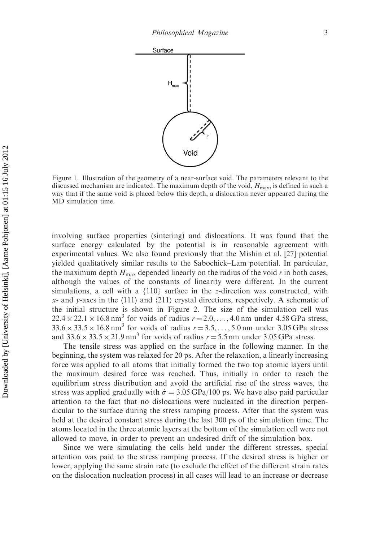

Figure 1. Illustration of the geometry of a near-surface void. The parameters relevant to the discussed mechanism are indicated. The maximum depth of the void,  $H_{\text{max}}$ , is defined in such a way that if the same void is placed below this depth, a dislocation never appeared during the MD simulation time.

involving surface properties (sintering) and dislocations. It was found that the surface energy calculated by the potential is in reasonable agreement with experimental values. We also found previously that the Mishin et al. [27] potential yielded qualitatively similar results to the Sabochick–Lam potential. In particular, the maximum depth  $H_{\text{max}}$  depended linearly on the radius of the void r in both cases, although the values of the constants of linearity were different. In the current simulations, a cell with a  $\{110\}$  surface in the z-direction was constructed, with x- and y-axes in the  $\langle 111 \rangle$  and  $\langle 211 \rangle$  crystal directions, respectively. A schematic of the initial structure is shown in Figure 2. The size of the simulation cell was  $22.4 \times 22.1 \times 16.8 \text{ nm}^3$  for voids of radius  $r = 2.0, \ldots, 4.0 \text{ nm}$  under 4.58 GPa stress,  $33.6 \times 33.5 \times 16.8$  nm<sup>3</sup> for voids of radius  $r = 3.5, \ldots, 5.0$  nm under 3.05 GPa stress and  $33.6 \times 33.5 \times 21.9$  nm<sup>3</sup> for voids of radius  $r = 5.5$  nm under 3.05 GPa stress.

The tensile stress was applied on the surface in the following manner. In the beginning, the system was relaxed for 20 ps. After the relaxation, a linearly increasing force was applied to all atoms that initially formed the two top atomic layers until the maximum desired force was reached. Thus, initially in order to reach the equilibrium stress distribution and avoid the artificial rise of the stress waves, the stress was applied gradually with  $\dot{\sigma} = 3.05 \,\text{GPa}/100 \text{ ps}$ . We have also paid particular attention to the fact that no dislocations were nucleated in the direction perpendicular to the surface during the stress ramping process. After that the system was held at the desired constant stress during the last 300 ps of the simulation time. The atoms located in the three atomic layers at the bottom of the simulation cell were not allowed to move, in order to prevent an undesired drift of the simulation box.

Since we were simulating the cells held under the different stresses, special attention was paid to the stress ramping process. If the desired stress is higher or lower, applying the same strain rate (to exclude the effect of the different strain rates on the dislocation nucleation process) in all cases will lead to an increase or decrease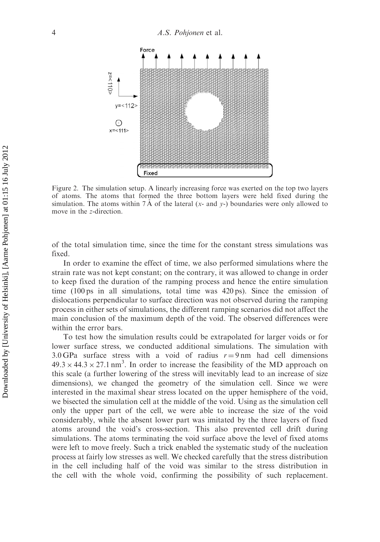

Figure 2. The simulation setup. A linearly increasing force was exerted on the top two layers of atoms. The atoms that formed the three bottom layers were held fixed during the simulation. The atoms within 7  $\AA$  of the lateral (x- and y-) boundaries were only allowed to move in the z-direction.

of the total simulation time, since the time for the constant stress simulations was fixed.

In order to examine the effect of time, we also performed simulations where the strain rate was not kept constant; on the contrary, it was allowed to change in order to keep fixed the duration of the ramping process and hence the entire simulation time  $(100 \text{ ps}$  in all simulations, total time was  $420 \text{ ps}$ ). Since the emission of dislocations perpendicular to surface direction was not observed during the ramping process in either sets of simulations, the different ramping scenarios did not affect the main conclusion of the maximum depth of the void. The observed differences were within the error bars.

To test how the simulation results could be extrapolated for larger voids or for lower surface stress, we conducted additional simulations. The simulation with 3.0 GPa surface stress with a void of radius  $r = 9 \text{ nm}$  had cell dimensions  $49.3 \times 44.3 \times 27.1 \text{ nm}^3$ . In order to increase the feasibility of the MD approach on this scale (a further lowering of the stress will inevitably lead to an increase of size dimensions), we changed the geometry of the simulation cell. Since we were interested in the maximal shear stress located on the upper hemisphere of the void, we bisected the simulation cell at the middle of the void. Using as the simulation cell only the upper part of the cell, we were able to increase the size of the void considerably, while the absent lower part was imitated by the three layers of fixed atoms around the void's cross-section. This also prevented cell drift during simulations. The atoms terminating the void surface above the level of fixed atoms were left to move freely. Such a trick enabled the systematic study of the nucleation process at fairly low stresses as well. We checked carefully that the stress distribution in the cell including half of the void was similar to the stress distribution in the cell with the whole void, confirming the possibility of such replacement.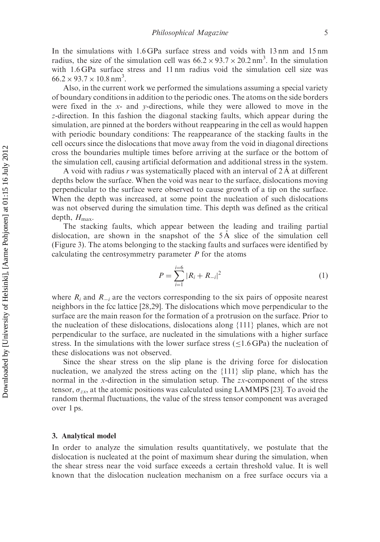In the simulations with 1.6 GPa surface stress and voids with 13 nm and 15 nm radius, the size of the simulation cell was  $66.2 \times 93.7 \times 20.2 \text{ nm}^3$ . In the simulation with 1.6 GPa surface stress and 11 nm radius void the simulation cell size was  $66.2 \times 93.7 \times 10.8 \text{ nm}^3$ .

Also, in the current work we performed the simulations assuming a special variety of boundary conditions in addition to the periodic ones. The atoms on the side borders were fixed in the  $x$ - and  $y$ -directions, while they were allowed to move in the z-direction. In this fashion the diagonal stacking faults, which appear during the simulation, are pinned at the borders without reappearing in the cell as would happen with periodic boundary conditions: The reappearance of the stacking faults in the cell occurs since the dislocations that move away from the void in diagonal directions cross the boundaries multiple times before arriving at the surface or the bottom of the simulation cell, causing artificial deformation and additional stress in the system.

A void with radius r was systematically placed with an interval of  $2\text{\AA}$  at different depths below the surface. When the void was near to the surface, dislocations moving perpendicular to the surface were observed to cause growth of a tip on the surface. When the depth was increased, at some point the nucleation of such dislocations was not observed during the simulation time. This depth was defined as the critical depth,  $H_{\text{max}}$ .

The stacking faults, which appear between the leading and trailing partial dislocation, are shown in the snapshot of the  $5\text{\AA}$  slice of the simulation cell (Figure 3). The atoms belonging to the stacking faults and surfaces were identified by calculating the centrosymmetry parameter  $P$  for the atoms

$$
P = \sum_{i=1}^{i=6} |R_i + R_{-i}|^2
$$
 (1)

where  $R_i$  and  $R_{i}$  are the vectors corresponding to the six pairs of opposite nearest neighbors in the fcc lattice [28,29]. The dislocations which move perpendicular to the surface are the main reason for the formation of a protrusion on the surface. Prior to the nucleation of these dislocations, dislocations along {111} planes, which are not perpendicular to the surface, are nucleated in the simulations with a higher surface stress. In the simulations with the lower surface stress  $(\leq 1.6 \text{ GPa})$  the nucleation of these dislocations was not observed.

Since the shear stress on the slip plane is the driving force for dislocation nucleation, we analyzed the stress acting on the {111} slip plane, which has the normal in the x-direction in the simulation setup. The zx-component of the stress tensor,  $\sigma_{zx}$ , at the atomic positions was calculated using LAMMPS [23]. To avoid the random thermal fluctuations, the value of the stress tensor component was averaged over 1 ps.

#### 3. Analytical model

In order to analyze the simulation results quantitatively, we postulate that the dislocation is nucleated at the point of maximum shear during the simulation, when the shear stress near the void surface exceeds a certain threshold value. It is well known that the dislocation nucleation mechanism on a free surface occurs via a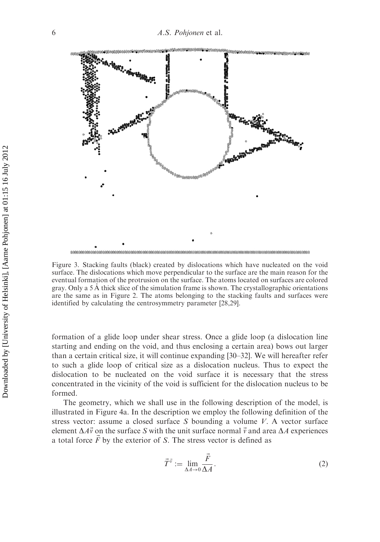

Figure 3. Stacking faults (black) created by dislocations which have nucleated on the void surface. The dislocations which move perpendicular to the surface are the main reason for the eventual formation of the protrusion on the surface. The atoms located on surfaces are colored gray. Only a 5 A thick slice of the simulation frame is shown. The crystallographic orientations are the same as in Figure 2. The atoms belonging to the stacking faults and surfaces were identified by calculating the centrosymmetry parameter [28,29].

formation of a glide loop under shear stress. Once a glide loop (a dislocation line starting and ending on the void, and thus enclosing a certain area) bows out larger than a certain critical size, it will continue expanding [30–32]. We will hereafter refer to such a glide loop of critical size as a dislocation nucleus. Thus to expect the dislocation to be nucleated on the void surface it is necessary that the stress concentrated in the vicinity of the void is sufficient for the dislocation nucleus to be formed.

The geometry, which we shall use in the following description of the model, is illustrated in Figure 4a. In the description we employ the following definition of the stress vector: assume a closed surface  $S$  bounding a volume  $V$ . A vector surface element  $\Delta A\vec{v}$  on the surface S with the unit surface normal  $\vec{v}$  and area  $\Delta A$  experiences a total force  $\vec{F}$  by the exterior of S. The stress vector is defined as

$$
\vec{T}^{\vec{v}} := \lim_{\Delta A \to 0} \frac{\vec{F}}{\Delta A}.
$$
 (2)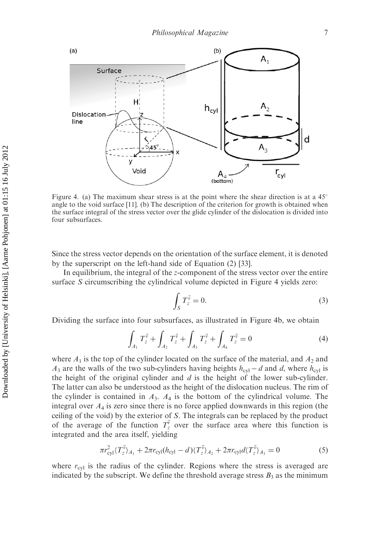

Figure 4. (a) The maximum shear stress is at the point where the shear direction is at a  $45^{\circ}$ angle to the void surface [11]. (b) The description of the criterion for growth is obtained when the surface integral of the stress vector over the glide cylinder of the dislocation is divided into four subsurfaces.

Since the stress vector depends on the orientation of the surface element, it is denoted by the superscript on the left-hand side of Equation (2) [33].

In equilibrium, the integral of the z-component of the stress vector over the entire surface S circumscribing the cylindrical volume depicted in Figure 4 yields zero:

$$
\int_{S} T_{z}^{\vec{v}} = 0.
$$
\n(3)

Dividing the surface into four subsurfaces, as illustrated in Figure 4b, we obtain

$$
\int_{A_1} T_z^{\vec{v}} + \int_{A_2} T_z^{\vec{v}} + \int_{A_3} T_z^{\vec{v}} + \int_{A_4} T_z^{\vec{v}} = 0
$$
\n(4)

where  $A_1$  is the top of the cylinder located on the surface of the material, and  $A_2$  and  $A_3$  are the walls of the two sub-cylinders having heights  $h_{\text{cyl}} - d$  and d, where  $h_{\text{cyl}}$  is the height of the original cylinder and  $d$  is the height of the lower sub-cylinder. The latter can also be understood as the height of the dislocation nucleus. The rim of the cylinder is contained in  $A_3$ .  $A_4$  is the bottom of the cylindrical volume. The integral over  $A_4$  is zero since there is no force applied downwards in this region (the ceiling of the void) by the exterior of S. The integrals can be replaced by the product of the average of the function  $T_{z}^{\vec{v}}$  over the surface area where this function is integrated and the area itself, yielding

$$
\pi r_{\text{cyl}}^2 \langle T_z^{\vec{v}} \rangle_{A_1} + 2\pi r_{\text{cyl}} (h_{\text{cyl}} - d) \langle T_z^{\vec{v}} \rangle_{A_2} + 2\pi r_{\text{cyl}} d \langle T_z^{\vec{v}} \rangle_{A_3} = 0 \tag{5}
$$

where  $r_{\text{cyl}}$  is the radius of the cylinder. Regions where the stress is averaged are indicated by the subscript. We define the threshold average stress  $B_3$  as the minimum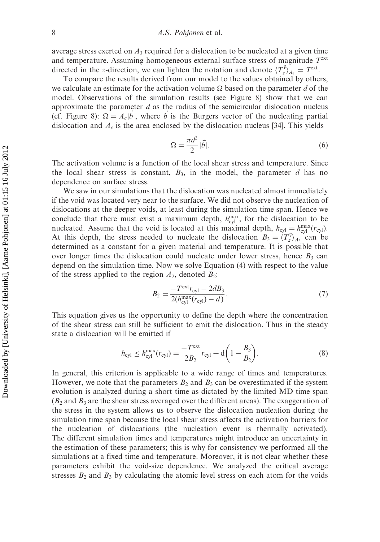average stress exerted on  $A_3$  required for a dislocation to be nucleated at a given time and temperature. Assuming homogeneous external surface stress of magnitude  $T<sup>ext</sup>$ directed in the z-direction, we can lighten the notation and denote  $\langle T_{z}^{\vec{v}} \rangle_{A_1} = T^{\text{ext}}$ .

To compare the results derived from our model to the values obtained by others, we calculate an estimate for the activation volume  $\Omega$  based on the parameter d of the model. Observations of the simulation results (see Figure 8) show that we can approximate the parameter  $d$  as the radius of the semicircular dislocation nucleus (cf. Figure 8):  $\Omega = A_c |\vec{b}|$ , where  $\vec{b}$  is the Burgers vector of the nucleating partial dislocation and  $A_c$  is the area enclosed by the dislocation nucleus [34]. This yields

$$
\Omega = \frac{\pi d^2}{2} |\vec{b}|. \tag{6}
$$

The activation volume is a function of the local shear stress and temperature. Since the local shear stress is constant,  $B_3$ , in the model, the parameter d has no dependence on surface stress.

We saw in our simulations that the dislocation was nucleated almost immediately if the void was located very near to the surface. We did not observe the nucleation of dislocations at the deeper voids, at least during the simulation time span. Hence we conclude that there must exist a maximum depth,  $h_{\text{cyl}}^{\text{max}}$ , for the dislocation to be nucleated. Assume that the void is located at this maximal depth,  $h_{cyl} = h_{cyl}^{\text{max}}(r_{cyl})$ . At this depth, the stress needed to nucleate the dislocation  $B_3 = \langle T_z^{\vec{v}} \rangle_{A_3}$  can be determined as a constant for a given material and temperature. It is possible that over longer times the dislocation could nucleate under lower stress, hence  $B_3$  can depend on the simulation time. Now we solve Equation (4) with respect to the value of the stress applied to the region  $A_2$ , denoted  $B_2$ :

$$
B_2 = \frac{-T^{\text{ext}} r_{\text{cyl}} - 2dB_3}{2(h_{\text{cyl}}^{\text{max}} (r_{\text{cyl}}) - d)}.
$$
\n(7)

This equation gives us the opportunity to define the depth where the concentration of the shear stress can still be sufficient to emit the dislocation. Thus in the steady state a dislocation will be emitted if

$$
h_{\rm cyl} \le h_{\rm cyl}^{\rm max}(r_{\rm cyl}) = \frac{-T^{\rm ext}}{2B_2} r_{\rm cyl} + d\left(1 - \frac{B_3}{B_2}\right).
$$
 (8)

In general, this criterion is applicable to a wide range of times and temperatures. However, we note that the parameters  $B_2$  and  $B_3$  can be overestimated if the system evolution is analyzed during a short time as dictated by the limited MD time span  $(B_2$  and  $B_3$  are the shear stress averaged over the different areas). The exaggeration of the stress in the system allows us to observe the dislocation nucleation during the simulation time span because the local shear stress affects the activation barriers for the nucleation of dislocations (the nucleation event is thermally activated). The different simulation times and temperatures might introduce an uncertainty in the estimation of these parameters; this is why for consistency we performed all the simulations at a fixed time and temperature. Moreover, it is not clear whether these parameters exhibit the void-size dependence. We analyzed the critical average stresses  $B_2$  and  $B_3$  by calculating the atomic level stress on each atom for the voids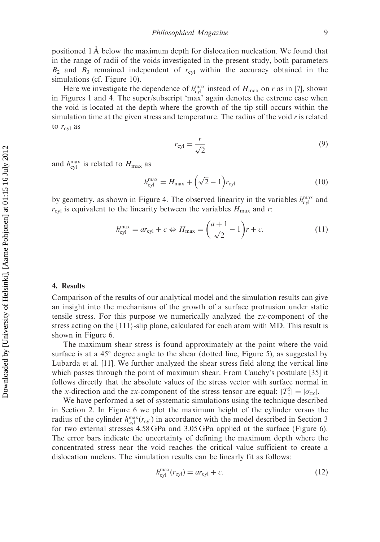positioned  $1 \mathring{A}$  below the maximum depth for dislocation nucleation. We found that in the range of radii of the voids investigated in the present study, both parameters  $B_2$  and  $B_3$  remained independent of  $r_{\text{cyl}}$  within the accuracy obtained in the simulations (cf. Figure 10).

Here we investigate the dependence of  $h_{\text{cyl}}^{\text{max}}$  instead of  $H_{\text{max}}$  on r as in [7], shown in Figures 1 and 4. The super/subscript 'max' again denotes the extreme case when the void is located at the depth where the growth of the tip still occurs within the simulation time at the given stress and temperature. The radius of the void r is related to  $r_{\text{cyl}}$  as

$$
r_{\rm cyl} = \frac{r}{\sqrt{2}}\tag{9}
$$

and  $h_{\text{cyl}}^{\text{max}}$  is related to  $H_{\text{max}}$  as

$$
h_{\rm cyl}^{\rm max} = H_{\rm max} + (\sqrt{2} - 1) r_{\rm cyl}
$$
 (10)

by geometry, as shown in Figure 4. The observed linearity in the variables  $h_{\text{cyl}}^{\text{max}}$  and  $r_{\text{cyl}}$  is equivalent to the linearity between the variables  $H_{\text{max}}$  and r:

$$
h_{\text{cyl}}^{\text{max}} = ar_{\text{cyl}} + c \Leftrightarrow H_{\text{max}} = \left(\frac{a+1}{\sqrt{2}} - 1\right)r + c.
$$
 (11)

#### 4. Results

Comparison of the results of our analytical model and the simulation results can give an insight into the mechanisms of the growth of a surface protrusion under static tensile stress. For this purpose we numerically analyzed the zx-component of the stress acting on the {111}-slip plane, calculated for each atom with MD. This result is shown in Figure 6.

The maximum shear stress is found approximately at the point where the void surface is at a  $45^{\circ}$  degree angle to the shear (dotted line, Figure 5), as suggested by Lubarda et al. [11]. We further analyzed the shear stress field along the vertical line which passes through the point of maximum shear. From Cauchy's postulate [35] it follows directly that the absolute values of the stress vector with surface normal in the x-direction and the zx-component of the stress tensor are equal:  $|T_z^{\hat{x}}| = |\sigma_{zx}|$ .

We have performed a set of systematic simulations using the technique described in Section 2. In Figure 6 we plot the maximum height of the cylinder versus the radius of the cylinder  $h_{cyl}^{\text{max}}(r_{cyl})$  in accordance with the model described in Section 3 for two external stresses 4.58 GPa and 3.05 GPa applied at the surface (Figure 6). The error bars indicate the uncertainty of defining the maximum depth where the concentrated stress near the void reaches the critical value sufficient to create a dislocation nucleus. The simulation results can be linearly fit as follows:

$$
h_{\rm cyl}^{\rm max}(r_{\rm cyl}) = ar_{\rm cyl} + c.
$$
 (12)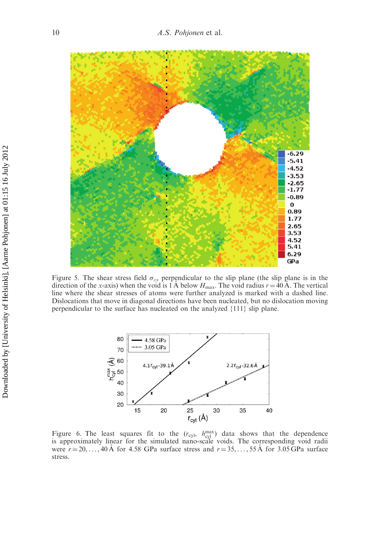

Figure 5. The shear stress field  $\sigma_{zx}$  perpendicular to the slip plane (the slip plane is in the direction of the x-axis) when the void is 1 Å below  $H_{\text{max}}$ . The void radius  $r = 40 \text{ Å}$ . The vertical line where the shear stresses of atoms were further analyzed is marked with a dashed line. Dislocations that move in diagonal directions have been nucleated, but no dislocation moving perpendicular to the surface has nucleated on the analyzed {111} slip plane.



Figure 6. The least squares fit to the  $(r_{\text{cyl}}, h_{\text{cyl}}^{\text{max}})$  data shows that the dependence is approximately linear for the simulated nano-scale voids. The corresponding void radii were  $r = 20, \ldots, 40 \text{ Å}$  for 4.58 GPa surface stress and  $r = 35, \ldots, 55 \text{ Å}$  for 3.05 GPa surface stress.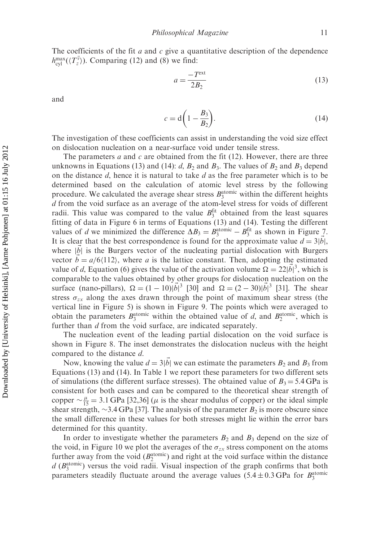The coefficients of the fit  $a$  and  $c$  give a quantitative description of the dependence  $h_{\text{cyl}}^{\text{max}}(\langle T_z^{\vec{v}} \rangle)$ . Comparing (12) and (8) we find:

$$
a = \frac{-T^{\text{ext}}}{2B_2} \tag{13}
$$

and

$$
c = d\left(1 - \frac{B_3}{B_2}\right). \tag{14}
$$

The investigation of these coefficients can assist in understanding the void size effect on dislocation nucleation on a near-surface void under tensile stress.

The parameters  $a$  and  $c$  are obtained from the fit (12). However, there are three unknowns in Equations (13) and (14):  $d$ ,  $B_2$  and  $B_3$ . The values of  $B_2$  and  $B_3$  depend on the distance  $d$ , hence it is natural to take  $d$  as the free parameter which is to be determined based on the calculation of atomic level stress by the following procedure. We calculated the average shear stress  $B_3^{\text{atomic}}$  within the different heights d from the void surface as an average of the atom-level stress for voids of different radii. This value was compared to the value  $B_3^{\text{fit}}$  obtained from the least squares fitting of data in Figure 6 in terms of Equations (13) and (14). Testing the different values of d we minimized the difference  $\Delta B_3 = B_3^{\text{atomic}} - B_3^{\text{fit}}$  as shown in Figure 7. It is clear that the best correspondence is found for the approximate value  $d = 3|\vec{b}|$ , where  $|\vec{b}|$  is the Burgers vector of the nucleating partial dislocation with Burgers vector  $\vec{b} = a/6\langle112\rangle$ , where a is the lattice constant. Then, adopting the estimated value of d, Equation (6) gives the value of the activation volume  $\Omega = 22|\vec{b}|^3$ , which is comparable to the values obtained by other groups for dislocation nucleation on the surface (nano-pillars),  $\Omega = (1 - 10)|\vec{b}|^3$  [30] and  $\Omega = (2 - 30)|\vec{b}|^3$  [31]. The shear stress  $\sigma_{zx}$  along the axes drawn through the point of maximum shear stress (the vertical line in Figure 5) is shown in Figure 9. The points which were averaged to obtain the parameters  $B_3^{\text{atomic}}$  within the obtained value of d, and  $B_2^{\text{atomic}}$ , which is further than d from the void surface, are indicated separately.

The nucleation event of the leading partial dislocation on the void surface is shown in Figure 8. The inset demonstrates the dislocation nucleus with the height compared to the distance d.

Now, knowing the value  $d = 3|\vec{b}|$  we can estimate the parameters  $B_2$  and  $B_3$  from Equations (13) and (14). In Table 1 we report these parameters for two different sets of simulations (the different surface stresses). The obtained value of  $B_3 = 5.4$  GPa is consistent for both cases and can be compared to the theoretical shear strength of copper  $\sim \frac{\mu}{15} = 3.1$  GPa [32,36] ( $\mu$  is the shear modulus of copper) or the ideal simple shear strength,  $\sim$ 3.4 GPa [37]. The analysis of the parameter  $B_2$  is more obscure since the small difference in these values for both stresses might lie within the error bars determined for this quantity.

In order to investigate whether the parameters  $B_2$  and  $B_3$  depend on the size of the void, in Figure 10 we plot the averages of the  $\sigma_{zx}$  stress component on the atoms further away from the void  $(B_2^{\text{atomic}})$  and right at the void surface within the distance  $d$  ( $B_3^{\text{atomic}}$ ) versus the void radii. Visual inspection of the graph confirms that both parameters steadily fluctuate around the average values  $(5.4 \pm 0.3 \text{ GPa}$  for  $B_3^{\text{atomic}}$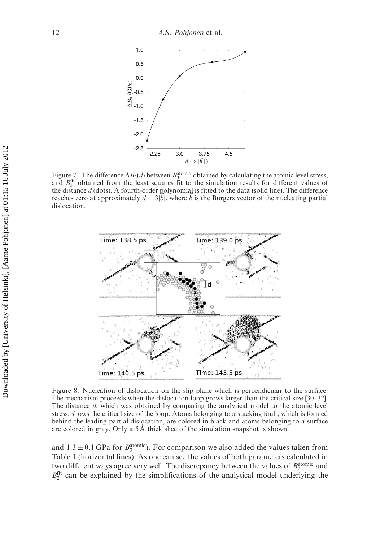

Figure 7. The difference  $\Delta B_3(d)$  between  $B_3^{\text{atomic}}$  obtained by calculating the atomic level stress, and  $B_3^{\text{fit}}$  obtained from the least squares fit to the simulation results for different values of the distance  $d$  (dots). A fourth-order polynomial is fitted to the data (solid line). The difference reaches zero at approximately  $d = 3|\vec{b}|$ , where  $\vec{b}$  is the Burgers vector of the nucleating partial dislocation.



Figure 8. Nucleation of dislocation on the slip plane which is perpendicular to the surface. The mechanism proceeds when the dislocation loop grows larger than the critical size [30–32]. The distance d, which was obtained by comparing the analytical model to the atomic level stress, shows the critical size of the loop. Atoms belonging to a stacking fault, which is formed behind the leading partial dislocation, are colored in black and atoms belonging to a surface are colored in gray. Only a  $5 \text{ Å}$  thick slice of the simulation snapshot is shown.

and  $1.3 \pm 0.1$  GPa for  $B_2^{\text{atomic}}$ ). For comparison we also added the values taken from Table 1 (horizontal lines). As one can see the values of both parameters calculated in two different ways agree very well. The discrepancy between the values of  $B_2^{\text{atomic}}$  and  $B_2^{\text{fit}}$  can be explained by the simplifications of the analytical model underlying the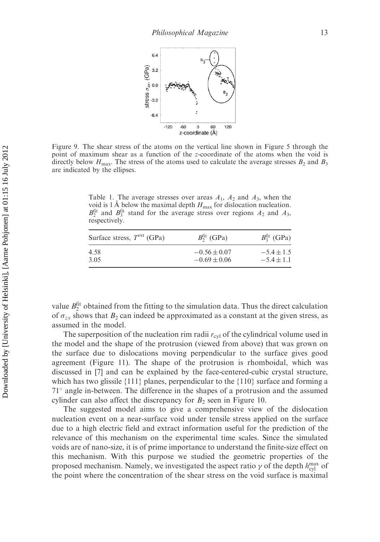

Figure 9. The shear stress of the atoms on the vertical line shown in Figure 5 through the point of maximum shear as a function of the z-coordinate of the atoms when the void is directly below  $H_{\text{max}}$ . The stress of the atoms used to calculate the average stresses  $B_2$  and  $B_3$ are indicated by the ellipses.

Table 1. The average stresses over areas  $A_1$ ,  $A_2$  and  $A_3$ , when the void is 1 Å below the maximal depth  $H_{\text{max}}$  for dislocation nucleation.  $B_2^{\text{fit}}$  and  $B_3^{\text{fit}}$  stand for the average stress over regions  $A_2$  and  $A_3$ , respectively.

| Surface stress, $T^{\text{ext}}$ (GPa) | $B_2^{\text{fit}}$ (GPa) | $B_3^{\text{fit}}$ (GPa) |
|----------------------------------------|--------------------------|--------------------------|
| 4.58                                   | $-0.56 \pm 0.07$         | $-5.4 \pm 1.5$           |
| 3.05                                   | $-0.69 \pm 0.06$         | $-5.4 \pm 1.1$           |

value  $B_2^{\text{fit}}$  obtained from the fitting to the simulation data. Thus the direct calculation of  $\sigma_{zx}$  shows that  $B_2$  can indeed be approximated as a constant at the given stress, as assumed in the model.

The superposition of the nucleation rim radii  $r_{\text{cyl}}$  of the cylindrical volume used in the model and the shape of the protrusion (viewed from above) that was grown on the surface due to dislocations moving perpendicular to the surface gives good agreement (Figure 11). The shape of the protrusion is rhomboidal, which was discussed in [7] and can be explained by the face-centered-cubic crystal structure, which has two glissile  $\{111\}$  planes, perpendicular to the  $\{110\}$  surface and forming a  $71^\circ$  angle in-between. The difference in the shapes of a protrusion and the assumed cylinder can also affect the discrepancy for  $B_2$  seen in Figure 10.

The suggested model aims to give a comprehensive view of the dislocation nucleation event on a near-surface void under tensile stress applied on the surface due to a high electric field and extract information useful for the prediction of the relevance of this mechanism on the experimental time scales. Since the simulated voids are of nano-size, it is of prime importance to understand the finite-size effect on this mechanism. With this purpose we studied the geometric properties of the proposed mechanism. Namely, we investigated the aspect ratio  $\gamma$  of the depth  $h_{\text{cyl}}^{\text{max}}$  of the point where the concentration of the shear stress on the void surface is maximal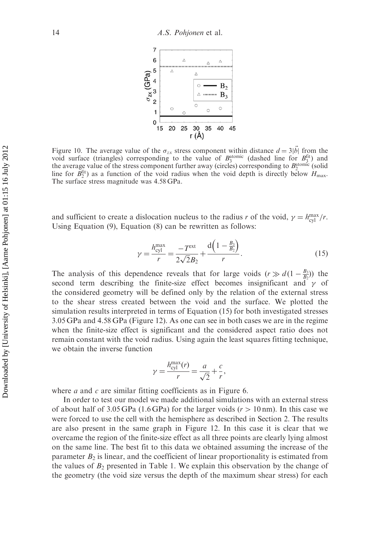

Figure 10. The average value of the  $\sigma_{zx}$  stress component within distance  $d = 3|\vec{b}|$  from the void surface (triangles) corresponding to the value of  $B_3^{\text{atomic}}$  (dashed line for  $B_3^{\text{fit}}$ ) and the average value of the stress component further away (circles) corresponding to  $B_2^{\text{atomic}}$  (solid line for  $B_2^{\text{fit}}$ ) as a function of the void radius when the void depth is directly below  $H_{\text{max}}$ . The surface stress magnitude was 4.58 GPa.

and sufficient to create a dislocation nucleus to the radius r of the void,  $\gamma = h_{\text{cyl}}^{\text{max}}/r$ . Using Equation (9), Equation (8) can be rewritten as follows:

$$
\gamma = \frac{h_{\text{cyl}}^{\text{max}}}{r} = \frac{-T^{\text{ext}}}{2\sqrt{2}B_2} + \frac{d\left(1 - \frac{B_3}{B_2}\right)}{r}.
$$
\n(15)

The analysis of this dependence reveals that for large voids  $(r \gg d(1 - \frac{B_3}{B_2}))$  the second term describing the finite-size effect becomes insignificant and  $\gamma$  of the considered geometry will be defined only by the relation of the external stress to the shear stress created between the void and the surface. We plotted the simulation results interpreted in terms of Equation (15) for both investigated stresses 3.05 GPa and 4.58 GPa (Figure 12). As one can see in both cases we are in the regime when the finite-size effect is significant and the considered aspect ratio does not remain constant with the void radius. Using again the least squares fitting technique, we obtain the inverse function

$$
\gamma = \frac{h_{\rm cyl}^{\rm max}(r)}{r} = \frac{a}{\sqrt{2}} + \frac{c}{r},
$$

where  $a$  and  $c$  are similar fitting coefficients as in Figure 6.

In order to test our model we made additional simulations with an external stress of about half of 3.05 GPa (1.6 GPa) for the larger voids ( $r > 10$  nm). In this case we were forced to use the cell with the hemisphere as described in Section 2. The results are also present in the same graph in Figure 12. In this case it is clear that we overcame the region of the finite-size effect as all three points are clearly lying almost on the same line. The best fit to this data we obtained assuming the increase of the parameter  $B_2$  is linear, and the coefficient of linear proportionality is estimated from the values of  $B_2$  presented in Table 1. We explain this observation by the change of the geometry (the void size versus the depth of the maximum shear stress) for each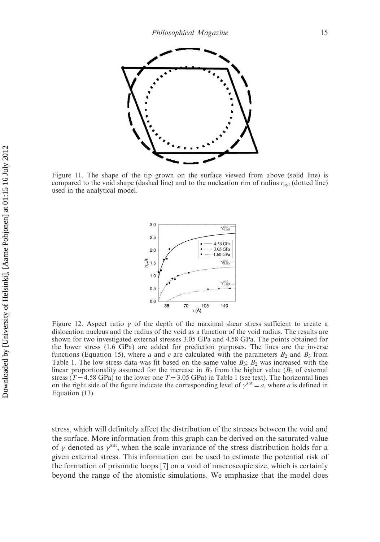

Figure 11. The shape of the tip grown on the surface viewed from above (solid line) is compared to the void shape (dashed line) and to the nucleation rim of radius  $r_{\text{cyl}}$  (dotted line) used in the analytical model.



Figure 12. Aspect ratio  $\gamma$  of the depth of the maximal shear stress sufficient to create a dislocation nucleus and the radius of the void as a function of the void radius. The results are shown for two investigated external stresses 3.05 GPa and 4.58 GPa. The points obtained for the lower stress (1.6 GPa) are added for prediction purposes. The lines are the inverse functions (Equation 15), where a and c are calculated with the parameters  $B_2$  and  $B_3$  from Table 1. The low stress data was fit based on the same value  $B_3$ ;  $B_2$  was increased with the linear proportionality assumed for the increase in  $B_2$  from the higher value ( $B_2$  of external stress (T = 4.58 GPa) to the lower one  $T = 3.05$  GPa) in Table 1 (see text). The horizontal lines on the right side of the figure indicate the corresponding level of  $\gamma^{sat} = a$ , where a is defined in Equation (13).

stress, which will definitely affect the distribution of the stresses between the void and the surface. More information from this graph can be derived on the saturated value of  $\gamma$  denoted as  $\gamma^{\text{sat}}$ , when the scale invariance of the stress distribution holds for a given external stress. This information can be used to estimate the potential risk of the formation of prismatic loops [7] on a void of macroscopic size, which is certainly beyond the range of the atomistic simulations. We emphasize that the model does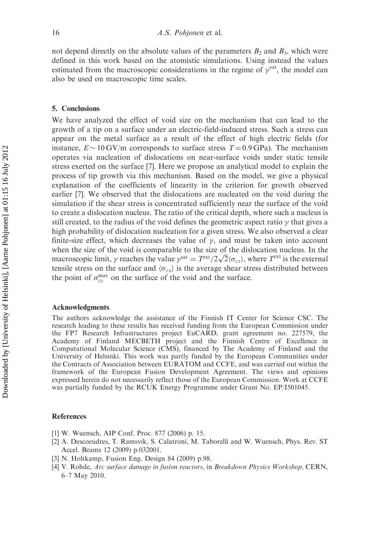not depend directly on the absolute values of the parameters  $B_2$  and  $B_3$ , which were defined in this work based on the atomistic simulations. Using instead the values estimated from the macroscopic considerations in the regime of  $\gamma^{\text{sat}}$ , the model can also be used on macroscopic time scales.

#### 5. Conclusions

We have analyzed the effect of void size on the mechanism that can lead to the growth of a tip on a surface under an electric-field-induced stress. Such a stress can appear on the metal surface as a result of the effect of high electric fields (for instance,  $E \sim 10 \text{ GV/m}$  corresponds to surface stress  $T = 0.9 \text{ GPa}$ ). The mechanism operates via nucleation of dislocations on near-surface voids under static tensile stress exerted on the surface [7]. Here we propose an analytical model to explain the process of tip growth via this mechanism. Based on the model, we give a physical explanation of the coefficients of linearity in the criterion for growth observed earlier [7]. We observed that the dislocations are nucleated on the void during the simulation if the shear stress is concentrated sufficiently near the surface of the void to create a dislocation nucleus. The ratio of the critical depth, where such a nucleus is still created, to the radius of the void defines the geometric aspect ratio  $\gamma$  that gives a high probability of dislocation nucleation for a given stress. We also observed a clear finite-size effect, which decreases the value of  $\gamma$ , and must be taken into account when the size of the void is comparable to the size of the dislocation nucleus. In the when the size of the vold is comparable to the size of the dislocation nucleus. In the macroscopic limit,  $\gamma$  reaches the value  $\gamma^{\text{sat}} = T^{\text{ext}}/2\sqrt{2}\langle\sigma_{zx}\rangle$ , where  $T^{\text{ext}}$  is the external tensile stress on the surface and  $\langle \sigma_{zx} \rangle$  is the average shear stress distributed between the point of  $\sigma_{zx}^{\text{max}}$  on the surface of the void and the surface.

#### Acknowledgments

The authors acknowledge the assistance of the Finnish IT Center for Science CSC. The research leading to these results has received funding from the European Commission under the FP7 Research Infrastructures project EuCARD, grant agreement no. 227579, the Academy of Finland MECBETH project and the Finnish Centre of Excellence in Computational Molecular Science (CMS), financed by The Academy of Finland and the University of Helsinki. This work was partly funded by the European Communities under the Contracts of Association between EURATOM and CCFE, and was carried out within the framework of the European Fusion Development Agreement. The views and opinions expressed herein do not necessarily reflect those of the European Commission. Work at CCFE was partially funded by the RCUK Energy Programme under Grant No. EP/I501045.

#### References

- [1] W. Wuensch, AIP Conf. Proc. 877 (2006) p. 15.
- [2] A. Descoeudres, T. Ramsvik, S. Calatroni, M. Taborelli and W. Wuensch, Phys. Rev. ST Accel. Beams 12 (2009) p.032001.
- [3] N. Holtkamp, Fusion Eng. Design 84 (2009) p.98.
- [4] V. Rohde, Arc surface damage in fusion reactors, in Breakdown Physics Workshop, CERN, 6–7 May 2010.